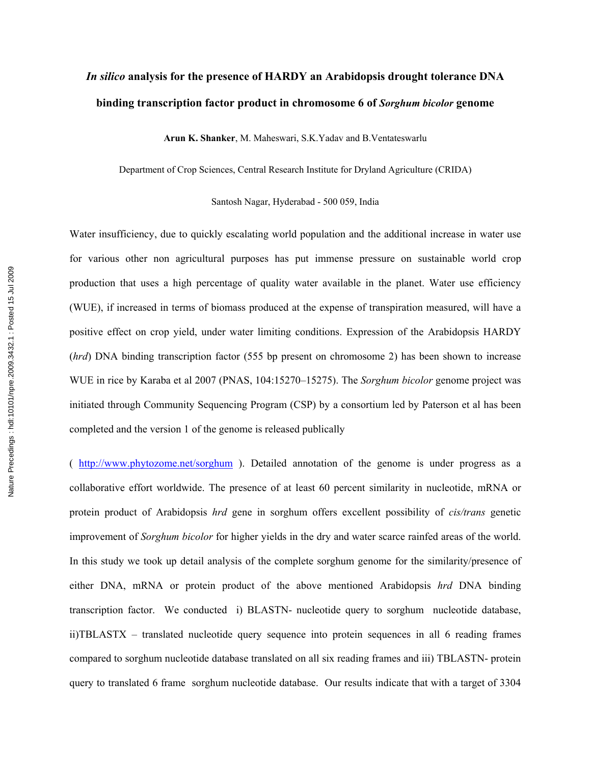## *In silico* **analysis for the presence of HARDY an Arabidopsis drought tolerance DNA binding transcription factor product in chromosome 6 of** *Sorghum bicolor* **genome**

**Arun K. Shanker**, M. Maheswari, S.K.Yadav and B.Ventateswarlu

Department of Crop Sciences, Central Research Institute for Dryland Agriculture (CRIDA)

Santosh Nagar, Hyderabad - 500 059, India

Water insufficiency, due to quickly escalating world population and the additional increase in water use for various other non agricultural purposes has put immense pressure on sustainable world crop production that uses a high percentage of quality water available in the planet. Water use efficiency (WUE), if increased in terms of biomass produced at the expense of transpiration measured, will have a positive effect on crop yield, under water limiting conditions. Expression of the Arabidopsis HARDY (*hrd*) DNA binding transcription factor (555 bp present on chromosome 2) has been shown to increase WUE in rice by Karaba et al 2007 (PNAS, 104:15270–15275). The *Sorghum bicolor* genome project was initiated through Community Sequencing Program (CSP) by a consortium led by Paterson et al has been completed and the version 1 of the genome is released publically

( http://www.phytozome.net/sorghum ). Detailed annotation of the genome is under progress as a collaborative effort worldwide. The presence of at least 60 percent similarity in nucleotide, mRNA or protein product of Arabidopsis *hrd* gene in sorghum offers excellent possibility of *cis/trans* genetic improvement of *Sorghum bicolor* for higher yields in the dry and water scarce rainfed areas of the world. In this study we took up detail analysis of the complete sorghum genome for the similarity/presence of either DNA, mRNA or protein product of the above mentioned Arabidopsis *hrd* DNA binding transcription factor. We conducted i) BLASTN- nucleotide query to sorghum nucleotide database, ii)TBLASTX – translated nucleotide query sequence into protein sequences in all 6 reading frames compared to sorghum nucleotide database translated on all six reading frames and iii) TBLASTN- protein query to translated 6 frame sorghum nucleotide database. Our results indicate that with a target of 3304